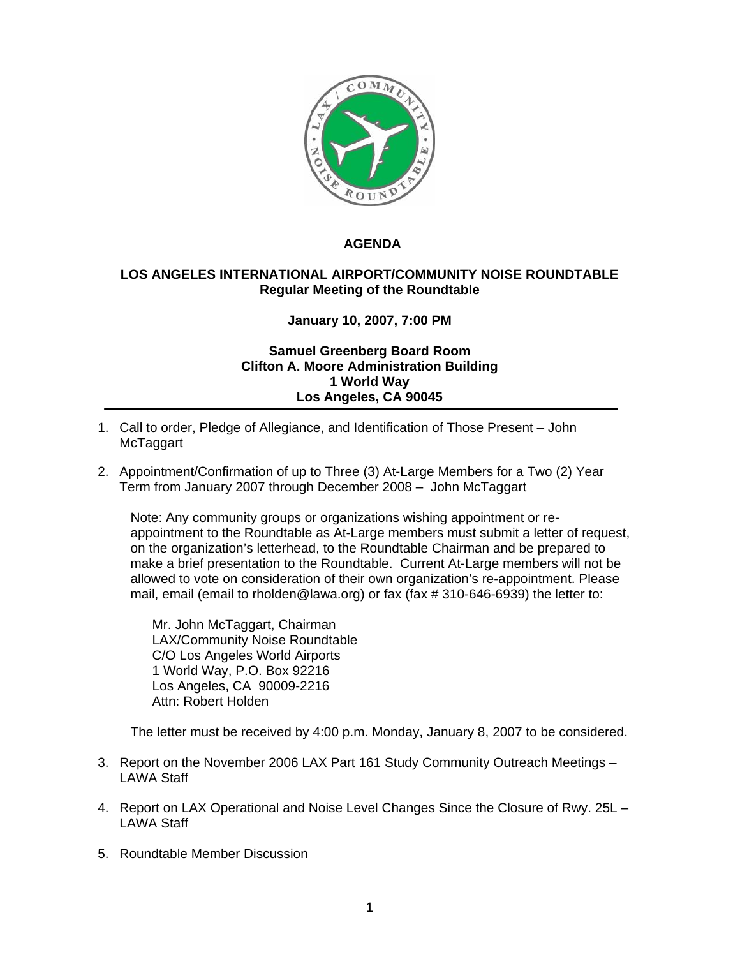

## **AGENDA**

## **LOS ANGELES INTERNATIONAL AIRPORT/COMMUNITY NOISE ROUNDTABLE Regular Meeting of the Roundtable**

## **January 10, 2007, 7:00 PM**

## **Samuel Greenberg Board Room Clifton A. Moore Administration Building 1 World Way Los Angeles, CA 90045**

- 1. Call to order, Pledge of Allegiance, and Identification of Those Present John McTaggart
- 2. Appointment/Confirmation of up to Three (3) At-Large Members for a Two (2) Year Term from January 2007 through December 2008 – John McTaggart

Note: Any community groups or organizations wishing appointment or reappointment to the Roundtable as At-Large members must submit a letter of request, on the organization's letterhead, to the Roundtable Chairman and be prepared to make a brief presentation to the Roundtable. Current At-Large members will not be allowed to vote on consideration of their own organization's re-appointment. Please mail, email (email to rholden@lawa.org) or fax (fax # 310-646-6939) the letter to:

Mr. John McTaggart, Chairman LAX/Community Noise Roundtable C/O Los Angeles World Airports 1 World Way, P.O. Box 92216 Los Angeles, CA 90009-2216 Attn: Robert Holden

The letter must be received by 4:00 p.m. Monday, January 8, 2007 to be considered.

- 3. Report on the November 2006 LAX Part 161 Study Community Outreach Meetings LAWA Staff
- 4. Report on LAX Operational and Noise Level Changes Since the Closure of Rwy. 25L LAWA Staff
- 5. Roundtable Member Discussion